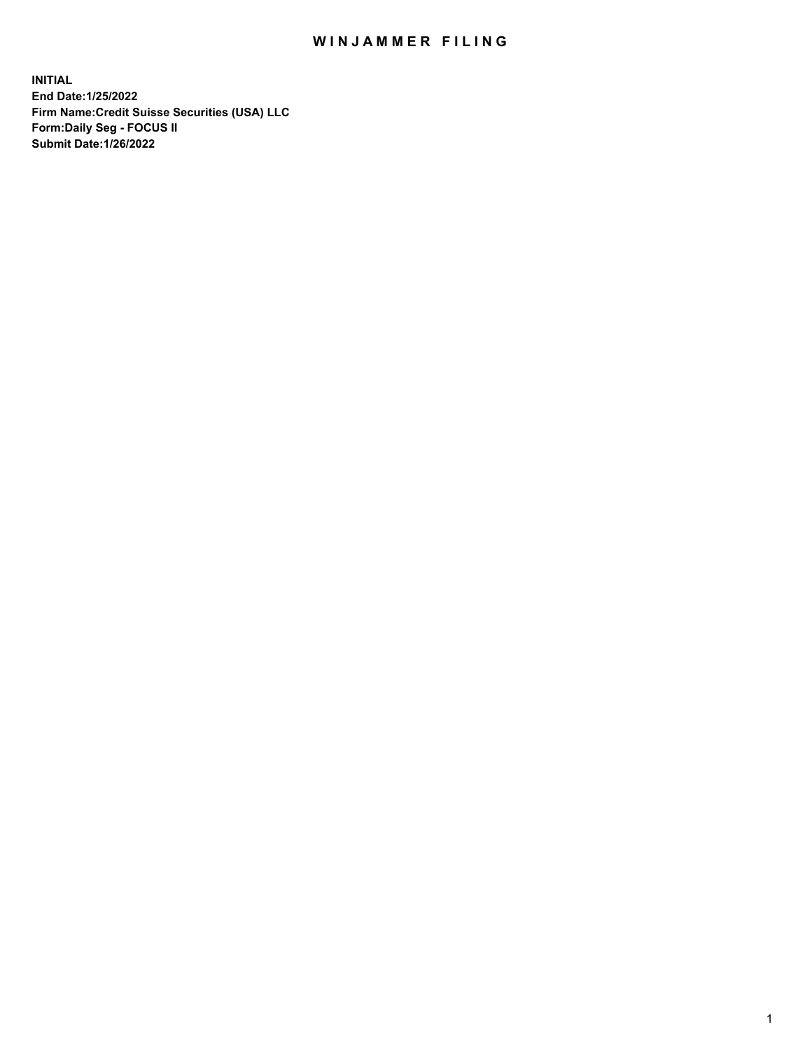## WIN JAMMER FILING

**INITIAL End Date:1/25/2022 Firm Name:Credit Suisse Securities (USA) LLC Form:Daily Seg - FOCUS II Submit Date:1/26/2022**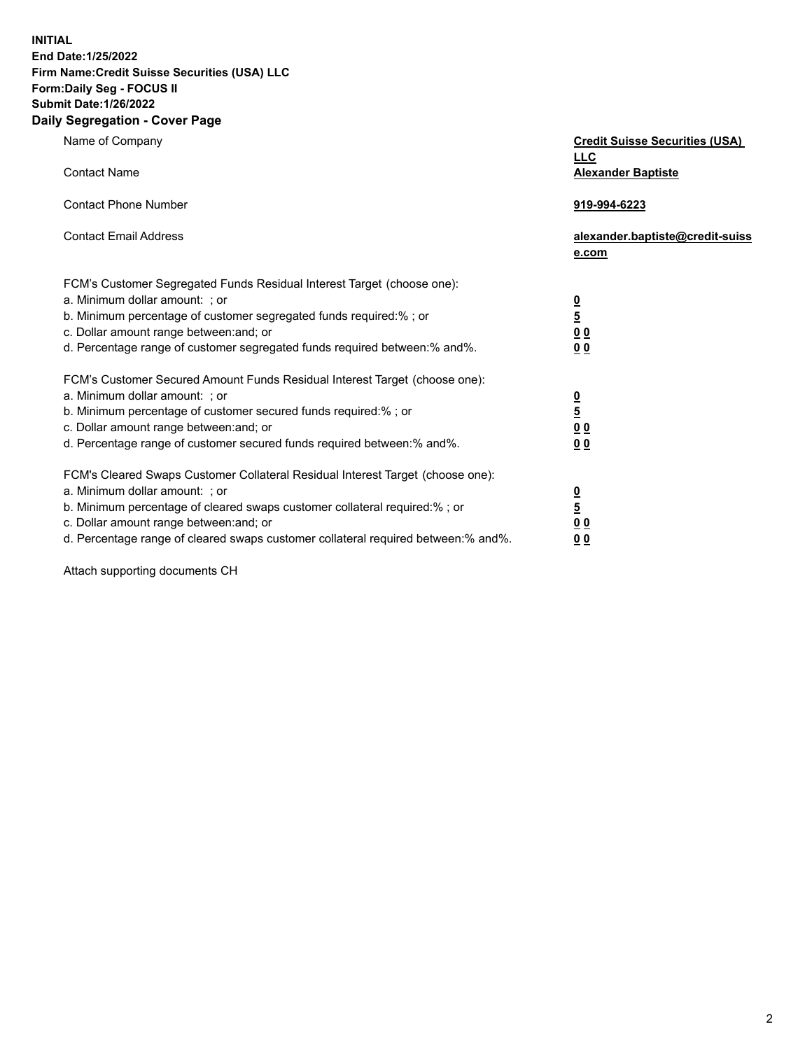**INITIAL End Date:1/25/2022** 

## **Firm Name:Credit Suisse Securities (USA) LLC Form:Daily Seg - FOCUS II Submit Date:1/26/2022**

## **Daily Segregation - Cover Page**

| Name of Company                                                                                                                                                                                                                                                                                                                | <b>Credit Suisse Securities (USA)</b><br><b>LLC</b>                |
|--------------------------------------------------------------------------------------------------------------------------------------------------------------------------------------------------------------------------------------------------------------------------------------------------------------------------------|--------------------------------------------------------------------|
| <b>Contact Name</b>                                                                                                                                                                                                                                                                                                            | <b>Alexander Baptiste</b>                                          |
| <b>Contact Phone Number</b>                                                                                                                                                                                                                                                                                                    | 919-994-6223                                                       |
| <b>Contact Email Address</b>                                                                                                                                                                                                                                                                                                   | alexander.baptiste@credit-suiss<br>e.com                           |
| FCM's Customer Segregated Funds Residual Interest Target (choose one):<br>a. Minimum dollar amount: ; or<br>b. Minimum percentage of customer segregated funds required:% ; or<br>c. Dollar amount range between: and; or<br>d. Percentage range of customer segregated funds required between:% and%.                         | $\frac{0}{\frac{5}{0}}$<br>0 <sub>0</sub>                          |
| FCM's Customer Secured Amount Funds Residual Interest Target (choose one):<br>a. Minimum dollar amount: ; or<br>b. Minimum percentage of customer secured funds required:%; or<br>c. Dollar amount range between: and; or<br>d. Percentage range of customer secured funds required between:% and%.                            | $\frac{0}{5}$<br>$\underline{0}$ $\underline{0}$<br>0 <sub>0</sub> |
| FCM's Cleared Swaps Customer Collateral Residual Interest Target (choose one):<br>a. Minimum dollar amount: ; or<br>b. Minimum percentage of cleared swaps customer collateral required:% ; or<br>c. Dollar amount range between: and; or<br>d. Percentage range of cleared swaps customer collateral required between:% and%. | $\frac{0}{5}$<br>0 <sub>0</sub><br>0 <sub>0</sub>                  |

Attach supporting documents CH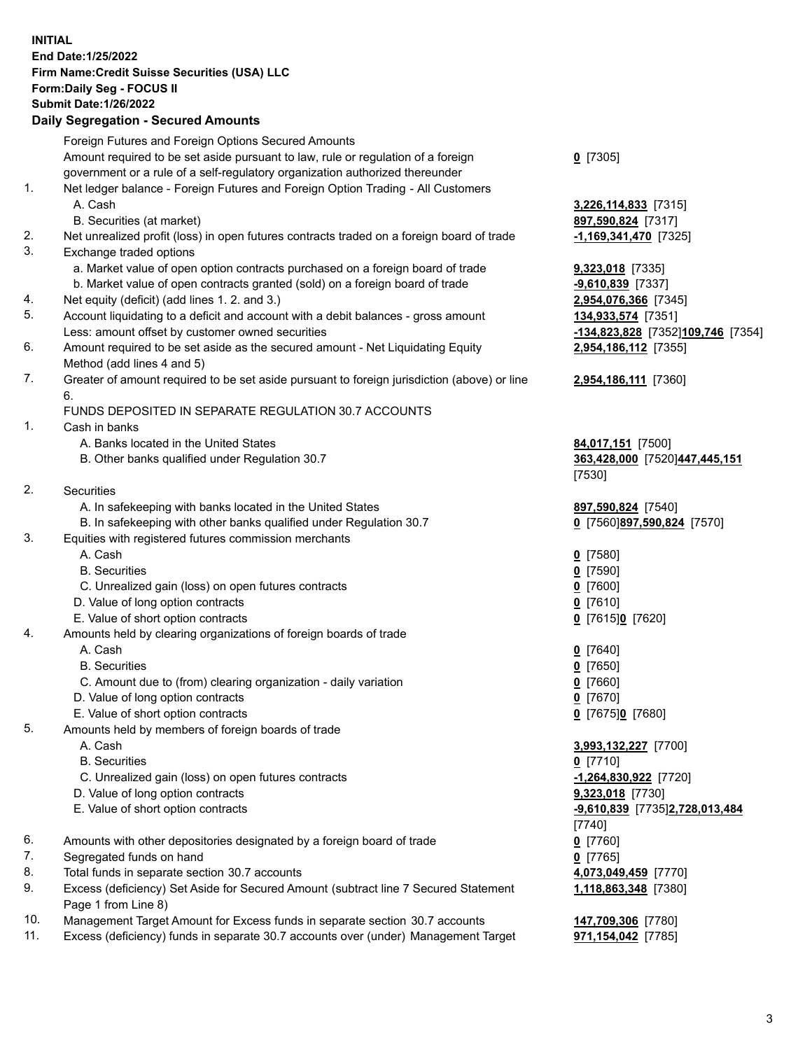**INITIAL End Date:1/25/2022 Firm Name:Credit Suisse Securities (USA) LLC Form:Daily Seg - FOCUS II Submit Date:1/26/2022** 

## **Daily Segregation - Secured Amounts**

|     | Foreign Futures and Foreign Options Secured Amounts                                                                       |                                   |
|-----|---------------------------------------------------------------------------------------------------------------------------|-----------------------------------|
|     | Amount required to be set aside pursuant to law, rule or regulation of a foreign                                          | $Q$ [7305]                        |
|     | government or a rule of a self-regulatory organization authorized thereunder                                              |                                   |
| 1.  | Net ledger balance - Foreign Futures and Foreign Option Trading - All Customers                                           |                                   |
|     | A. Cash                                                                                                                   | 3,226,114,833 [7315]              |
|     | B. Securities (at market)                                                                                                 | 897,590,824 [7317]                |
| 2.  | Net unrealized profit (loss) in open futures contracts traded on a foreign board of trade                                 | $-1,169,341,470$ [7325]           |
| 3.  | Exchange traded options                                                                                                   |                                   |
|     | a. Market value of open option contracts purchased on a foreign board of trade                                            | 9,323,018 [7335]                  |
|     | b. Market value of open contracts granted (sold) on a foreign board of trade                                              | $-9,610,839$ [7337]               |
| 4.  | Net equity (deficit) (add lines 1. 2. and 3.)                                                                             | 2,954,076,366 [7345]              |
| 5.  | Account liquidating to a deficit and account with a debit balances - gross amount                                         | 134,933,574 [7351]                |
| 6.  | Less: amount offset by customer owned securities                                                                          | -134,823,828 [7352]109,746 [7354] |
|     | Amount required to be set aside as the secured amount - Net Liquidating Equity                                            | 2,954,186,112 [7355]              |
| 7.  | Method (add lines 4 and 5)<br>Greater of amount required to be set aside pursuant to foreign jurisdiction (above) or line |                                   |
|     | 6.                                                                                                                        | 2,954,186,111 [7360]              |
|     | FUNDS DEPOSITED IN SEPARATE REGULATION 30.7 ACCOUNTS                                                                      |                                   |
| 1.  | Cash in banks                                                                                                             |                                   |
|     | A. Banks located in the United States                                                                                     | 84,017,151 [7500]                 |
|     | B. Other banks qualified under Regulation 30.7                                                                            | 363,428,000 [7520]447,445,151     |
|     |                                                                                                                           | [7530]                            |
| 2.  | Securities                                                                                                                |                                   |
|     | A. In safekeeping with banks located in the United States                                                                 | 897,590,824 [7540]                |
|     | B. In safekeeping with other banks qualified under Regulation 30.7                                                        | 0 [7560]897,590,824 [7570]        |
| 3.  | Equities with registered futures commission merchants                                                                     |                                   |
|     | A. Cash                                                                                                                   | $0$ [7580]                        |
|     | <b>B.</b> Securities                                                                                                      | $0$ [7590]                        |
|     | C. Unrealized gain (loss) on open futures contracts                                                                       | $Q$ [7600]                        |
|     | D. Value of long option contracts                                                                                         | $0$ [7610]                        |
|     | E. Value of short option contracts                                                                                        | 0 [7615]0 [7620]                  |
| 4.  | Amounts held by clearing organizations of foreign boards of trade                                                         |                                   |
|     | A. Cash                                                                                                                   | $0$ [7640]                        |
|     | <b>B.</b> Securities                                                                                                      | $Q$ [7650]                        |
|     | C. Amount due to (from) clearing organization - daily variation                                                           | $0$ [7660]                        |
|     | D. Value of long option contracts                                                                                         | $0$ [7670]                        |
|     | E. Value of short option contracts                                                                                        | 0 [7675]0 [7680]                  |
| 5.  | Amounts held by members of foreign boards of trade                                                                        |                                   |
|     | A. Cash                                                                                                                   | 3,993,132,227 [7700]              |
|     | <b>B.</b> Securities                                                                                                      | $0$ [7710]                        |
|     | C. Unrealized gain (loss) on open futures contracts                                                                       | $-1,264,830,922$ [7720]           |
|     | D. Value of long option contracts                                                                                         | 9,323,018 [7730]                  |
|     | E. Value of short option contracts                                                                                        | -9,610,839 [7735]2,728,013,484    |
|     |                                                                                                                           | [7740]                            |
| 6.  | Amounts with other depositories designated by a foreign board of trade                                                    | $0$ [7760]                        |
| 7.  | Segregated funds on hand                                                                                                  | $0$ [7765]                        |
| 8.  | Total funds in separate section 30.7 accounts                                                                             | 4,073,049,459 [7770]              |
| 9.  | Excess (deficiency) Set Aside for Secured Amount (subtract line 7 Secured Statement                                       | 1,118,863,348 [7380]              |
|     | Page 1 from Line 8)                                                                                                       |                                   |
| 10. | Management Target Amount for Excess funds in separate section 30.7 accounts                                               | 147,709,306 [7780]                |
| 11. | Excess (deficiency) funds in separate 30.7 accounts over (under) Management Target                                        | 971,154,042 [7785]                |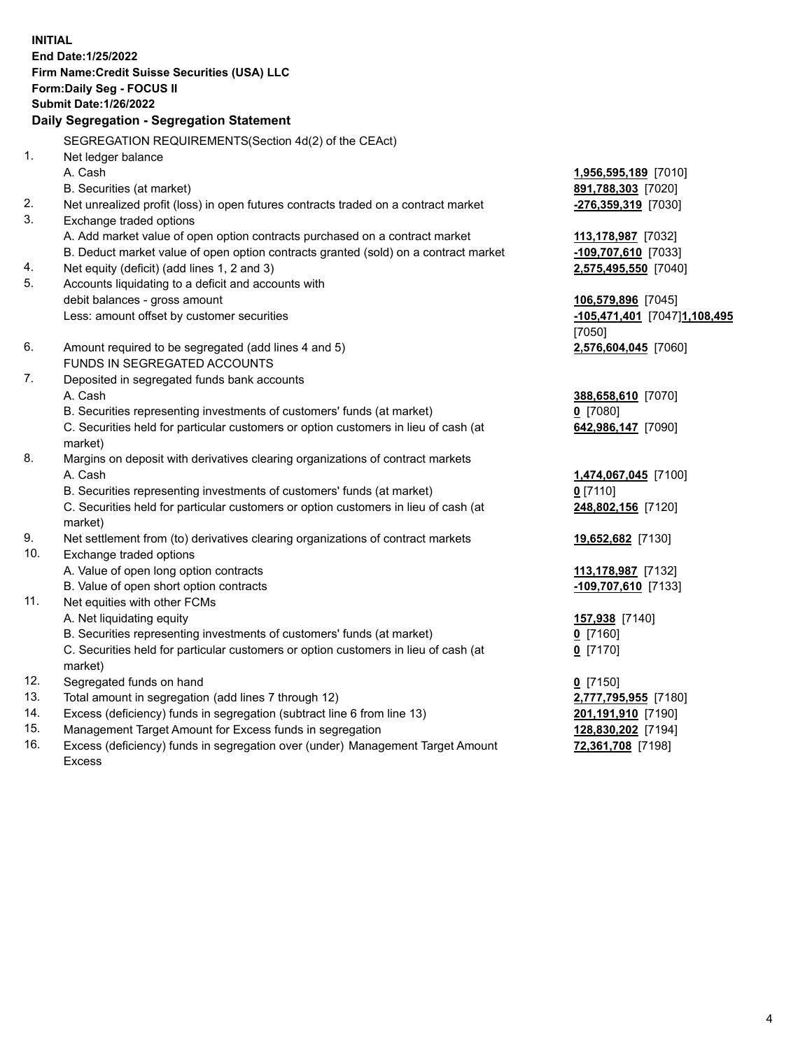**INITIAL End Date:1/25/2022 Firm Name:Credit Suisse Securities (USA) LLC Form:Daily Seg - FOCUS II Submit Date:1/26/2022 Daily Segregation - Segregation Statement**  SEGREGATION REQUIREMENTS(Section 4d(2) of the CEAct) 1. Net ledger balance A. Cash **1,956,595,189** [7010] B. Securities (at market) **891,788,303** [7020] 2. Net unrealized profit (loss) in open futures contracts traded on a contract market **-276,359,319** [7030] 3. Exchange traded options A. Add market value of open option contracts purchased on a contract market **113,178,987** [7032] B. Deduct market value of open option contracts granted (sold) on a contract market **-109,707,610** [7033] 4. Net equity (deficit) (add lines 1, 2 and 3) **2,575,495,550** [7040] 5. Accounts liquidating to a deficit and accounts with debit balances - gross amount **106,579,896** [7045] Less: amount offset by customer securities **-105,471,401** [7047] **1,108,495**  [7050] 6. Amount required to be segregated (add lines 4 and 5) **2,576,604,045** [7060] FUNDS IN SEGREGATED ACCOUNTS 7. Deposited in segregated funds bank accounts A. Cash **388,658,610** [7070] B. Securities representing investments of customers' funds (at market) **0** [7080] C. Securities held for particular customers or option customers in lieu of cash (at **642,986,147** [7090] market) 8. Margins on deposit with derivatives clearing organizations of contract markets A. Cash **1,474,067,045** [7100] B. Securities representing investments of customers' funds (at market) **0** [7110] C. Securities held for particular customers or option customers in lieu of cash (at **248,802,156** [7120] market) 9. Net settlement from (to) derivatives clearing organizations of contract markets **19,652,682** [7130] 10. Exchange traded options A. Value of open long option contracts **113,178,987** [7132] B. Value of open short option contracts **-109,707,610** [7133] 11. Net equities with other FCMs A. Net liquidating equity **157,938** [7140] B. Securities representing investments of customers' funds (at market) **0** [7160] C. Securities held for particular customers or option customers in lieu of cash (at **0** [7170] market) 12. Segregated funds on hand **0** [7150] 13. Total amount in segregation (add lines 7 through 12) **2,777,795,955** [7180] 14. Excess (deficiency) funds in segregation (subtract line 6 from line 13) **201,191,910** [7190]

- 15. Management Target Amount for Excess funds in segregation **128,830,202** [7194]
- 16. Excess (deficiency) funds in segregation over (under) Management Target Amount **72,361,708** [7198] Excess